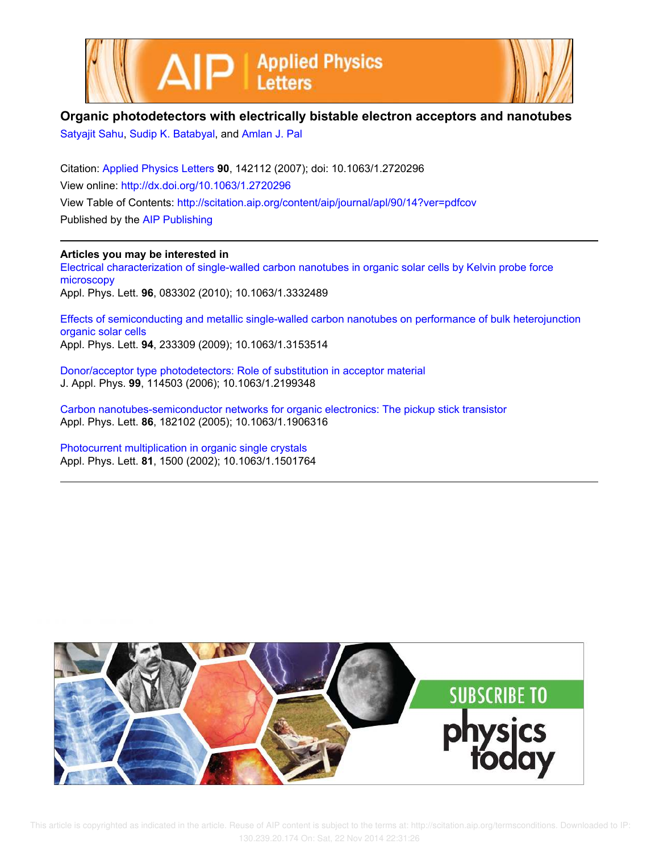



## **Organic photodetectors with electrically bistable electron acceptors and nanotubes**

Satyajit Sahu, Sudip K. Batabyal, and Amlan J. Pal

Citation: Applied Physics Letters **90**, 142112 (2007); doi: 10.1063/1.2720296 View online: http://dx.doi.org/10.1063/1.2720296 View Table of Contents: http://scitation.aip.org/content/aip/journal/apl/90/14?ver=pdfcov Published by the AIP Publishing

## **Articles you may be interested in**

Electrical characterization of single-walled carbon nanotubes in organic solar cells by Kelvin probe force microscopy Appl. Phys. Lett. **96**, 083302 (2010); 10.1063/1.3332489

Effects of semiconducting and metallic single-walled carbon nanotubes on performance of bulk heterojunction organic solar cells Appl. Phys. Lett. **94**, 233309 (2009); 10.1063/1.3153514

Donor/acceptor type photodetectors: Role of substitution in acceptor material J. Appl. Phys. **99**, 114503 (2006); 10.1063/1.2199348

Carbon nanotubes-semiconductor networks for organic electronics: The pickup stick transistor Appl. Phys. Lett. **86**, 182102 (2005); 10.1063/1.1906316

Photocurrent multiplication in organic single crystals Appl. Phys. Lett. **81**, 1500 (2002); 10.1063/1.1501764



 This article is copyrighted as indicated in the article. Reuse of AIP content is subject to the terms at: http://scitation.aip.org/termsconditions. Downloaded to IP: 130.239.20.174 On: Sat, 22 Nov 2014 22:31:26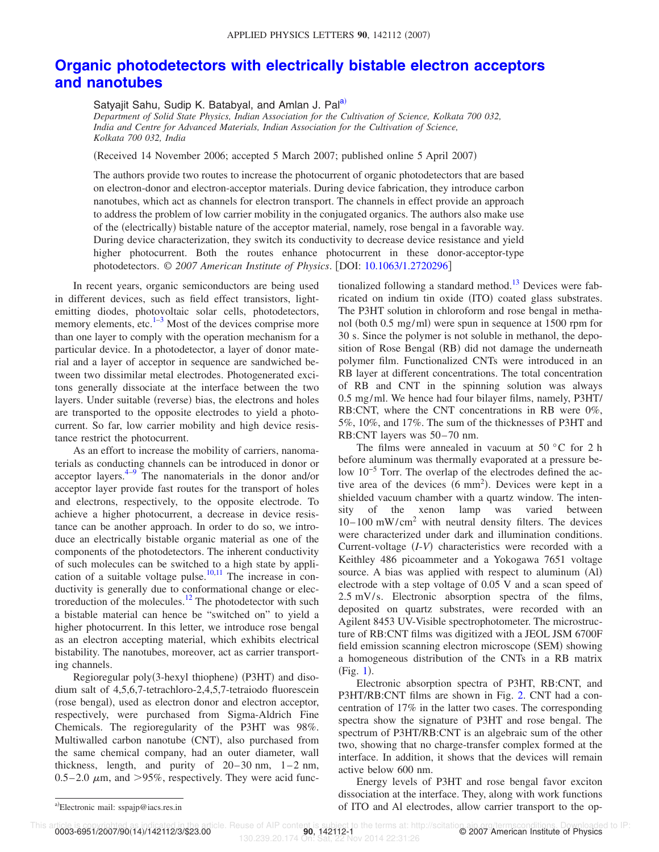## **Organic photodetectors with electrically bistable electron acceptors and nanotubes**

Satyajit Sahu, Sudip K. Batabyal, and Amlan J. Pal<sup>a)</sup>

*Department of Solid State Physics, Indian Association for the Cultivation of Science, Kolkata 700 032, India and Centre for Advanced Materials, Indian Association for the Cultivation of Science, Kolkata 700 032, India*

Received 14 November 2006; accepted 5 March 2007; published online 5 April 2007-

The authors provide two routes to increase the photocurrent of organic photodetectors that are based on electron-donor and electron-acceptor materials. During device fabrication, they introduce carbon nanotubes, which act as channels for electron transport. The channels in effect provide an approach to address the problem of low carrier mobility in the conjugated organics. The authors also make use of the (electrically) bistable nature of the acceptor material, namely, rose bengal in a favorable way. During device characterization, they switch its conductivity to decrease device resistance and yield higher photocurrent. Both the routes enhance photocurrent in these donor-acceptor-type photodetectors.  $\odot$  2007 American Institute of Physics. [DOI: 10.1063/1.2720296]

In recent years, organic semiconductors are being used in different devices, such as field effect transistors, lightemitting diodes, photovoltaic solar cells, photodetectors, memory elements, etc. $1-3$  Most of the devices comprise more than one layer to comply with the operation mechanism for a particular device. In a photodetector, a layer of donor material and a layer of acceptor in sequence are sandwiched between two dissimilar metal electrodes. Photogenerated excitons generally dissociate at the interface between the two layers. Under suitable (reverse) bias, the electrons and holes are transported to the opposite electrodes to yield a photocurrent. So far, low carrier mobility and high device resistance restrict the photocurrent.

As an effort to increase the mobility of carriers, nanomaterials as conducting channels can be introduced in donor or acceptor layers.<sup>4–9</sup> The nanomaterials in the donor and/or acceptor layer provide fast routes for the transport of holes and electrons, respectively, to the opposite electrode. To achieve a higher photocurrent, a decrease in device resistance can be another approach. In order to do so, we introduce an electrically bistable organic material as one of the components of the photodetectors. The inherent conductivity of such molecules can be switched to a high state by application of a suitable voltage pulse.<sup>10,11</sup> The increase in conductivity is generally due to conformational change or electroreduction of the molecules.<sup>12</sup> The photodetector with such a bistable material can hence be "switched on" to yield a higher photocurrent. In this letter, we introduce rose bengal as an electron accepting material, which exhibits electrical bistability. The nanotubes, moreover, act as carrier transporting channels.

Regioregular poly(3-hexyl thiophene) (P3HT) and disodium salt of 4,5,6,7-tetrachloro-2,4,5,7-tetraiodo fluorescein (rose bengal), used as electron donor and electron acceptor, respectively, were purchased from Sigma-Aldrich Fine Chemicals. The regioregularity of the P3HT was 98%. Multiwalled carbon nanotube (CNT), also purchased from the same chemical company, had an outer diameter, wall thickness, length, and purity of 20–30 nm, 1–2 nm,  $0.5-2.0 \mu m$ , and  $>95\%$ , respectively. They were acid functionalized following a standard method.<sup>13</sup> Devices were fabricated on indium tin oxide (ITO) coated glass substrates. The P3HT solution in chloroform and rose bengal in methanol (both 0.5 mg/ml) were spun in sequence at 1500 rpm for 30 s. Since the polymer is not soluble in methanol, the deposition of Rose Bengal (RB) did not damage the underneath polymer film. Functionalized CNTs were introduced in an RB layer at different concentrations. The total concentration of RB and CNT in the spinning solution was always 0.5 mg/ml. We hence had four bilayer films, namely, P3HT/ RB:CNT, where the CNT concentrations in RB were 0%, 5%, 10%, and 17%. The sum of the thicknesses of P3HT and RB:CNT layers was 50–70 nm.

The films were annealed in vacuum at  $50^{\circ}$ C for 2 h before aluminum was thermally evaporated at a pressure below 10−5 Torr. The overlap of the electrodes defined the active area of the devices  $(6 \text{ mm}^2)$ . Devices were kept in a shielded vacuum chamber with a quartz window. The intensity of the xenon lamp was varied between  $10-100$  mW/cm<sup>2</sup> with neutral density filters. The devices were characterized under dark and illumination conditions. Current-voltage (*I-V*) characteristics were recorded with a Keithley 486 picoammeter and a Yokogawa 7651 voltage source. A bias was applied with respect to aluminum (Al) electrode with a step voltage of 0.05 V and a scan speed of 2.5 mV/s. Electronic absorption spectra of the films, deposited on quartz substrates, were recorded with an Agilent 8453 UV-Visible spectrophotometer. The microstructure of RB:CNT films was digitized with a JEOL JSM 6700F field emission scanning electron microscope (SEM) showing a homogeneous distribution of the CNTs in a RB matrix (Fig. 1).

Electronic absorption spectra of P3HT, RB:CNT, and P3HT/RB:CNT films are shown in Fig. 2. CNT had a concentration of 17% in the latter two cases. The corresponding spectra show the signature of P3HT and rose bengal. The spectrum of P3HT/RB:CNT is an algebraic sum of the other two, showing that no charge-transfer complex formed at the interface. In addition, it shows that the devices will remain active below 600 nm.

Energy levels of P3HT and rose bengal favor exciton dissociation at the interface. They, along with work functions of ITO and Al electrodes, allow carrier transport to the op-

0003-6951/2007/90(14)/142112/3/\$23.00

Electronic mail: sspajp@iacs.res.in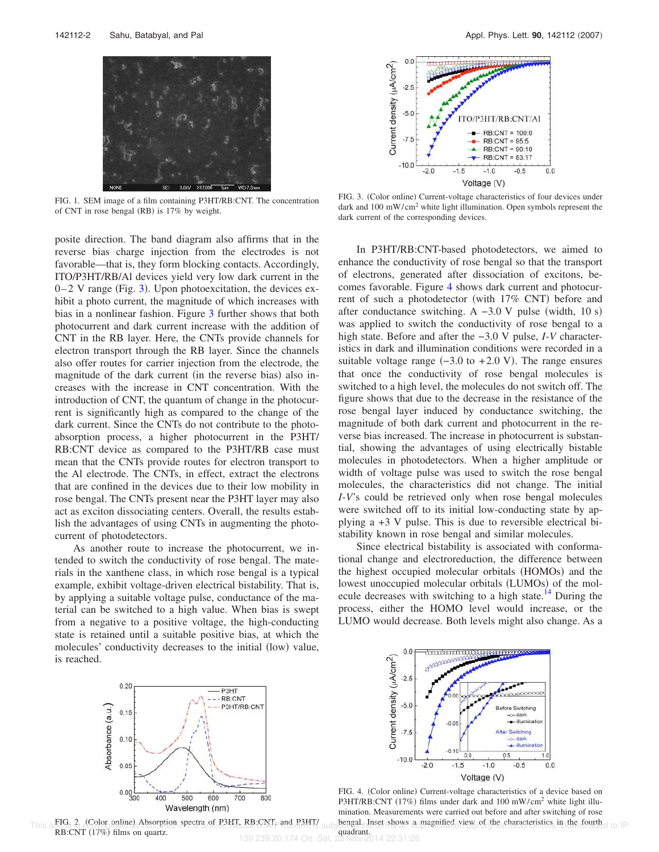

FIG. 1. SEM image of a film containing P3HT/RB:CNT. The concentration of CNT in rose bengal (RB) is 17% by weight.

posite direction. The band diagram also affirms that in the reverse bias charge injection from the electrodes is not favorable—that is, they form blocking contacts. Accordingly, ITO/P3HT/RB/Al devices yield very low dark current in the  $0-2$  V range (Fig. 3). Upon photoexcitation, the devices exhibit a photo current, the magnitude of which increases with bias in a nonlinear fashion. Figure 3 further shows that both photocurrent and dark current increase with the addition of CNT in the RB layer. Here, the CNTs provide channels for electron transport through the RB layer. Since the channels also offer routes for carrier injection from the electrode, the magnitude of the dark current (in the reverse bias) also increases with the increase in CNT concentration. With the introduction of CNT, the quantum of change in the photocurrent is significantly high as compared to the change of the dark current. Since the CNTs do not contribute to the photoabsorption process, a higher photocurrent in the P3HT/ RB:CNT device as compared to the P3HT/RB case must mean that the CNTs provide routes for electron transport to the Al electrode. The CNTs, in effect, extract the electrons that are confined in the devices due to their low mobility in rose bengal. The CNTs present near the P3HT layer may also act as exciton dissociating centers. Overall, the results establish the advantages of using CNTs in augmenting the photocurrent of photodetectors.

As another route to increase the photocurrent, we intended to switch the conductivity of rose bengal. The materials in the xanthene class, in which rose bengal is a typical example, exhibit voltage-driven electrical bistability. That is, by applying a suitable voltage pulse, conductance of the material can be switched to a high value. When bias is swept from a negative to a positive voltage, the high-conducting state is retained until a suitable positive bias, at which the molecules' conductivity decreases to the initial (low) value, is reached.



FIG. 2. (Color online) Absorption spectra of P3HT, RB:CNT, and P3HT/ RB:CNT (17%) films on quartz.



FIG. 3. (Color online) Current-voltage characteristics of four devices under dark and 100 mW/cm<sup>2</sup> white light illumination. Open symbols represent the dark current of the corresponding devices.

In P3HT/RB:CNT-based photodetectors, we aimed to enhance the conductivity of rose bengal so that the transport of electrons, generated after dissociation of excitons, becomes favorable. Figure 4 shows dark current and photocurrent of such a photodetector (with 17% CNT) before and after conductance switching. A  $-3.0$  V pulse (width, 10 s) was applied to switch the conductivity of rose bengal to a high state. Before and after the −3.0 V pulse, *I*-*V* characteristics in dark and illumination conditions were recorded in a suitable voltage range  $(-3.0 \text{ to } +2.0 \text{ V})$ . The range ensures that once the conductivity of rose bengal molecules is switched to a high level, the molecules do not switch off. The figure shows that due to the decrease in the resistance of the rose bengal layer induced by conductance switching, the magnitude of both dark current and photocurrent in the reverse bias increased. The increase in photocurrent is substantial, showing the advantages of using electrically bistable molecules in photodetectors. When a higher amplitude or width of voltage pulse was used to switch the rose bengal molecules, the characteristics did not change. The initial *I*-*V*'s could be retrieved only when rose bengal molecules were switched off to its initial low-conducting state by applying a +3 V pulse. This is due to reversible electrical bistability known in rose bengal and similar molecules.

Since electrical bistability is associated with conformational change and electroreduction, the difference between the highest occupied molecular orbitals (HOMOs) and the lowest unoccupied molecular orbitals (LUMOs) of the molecule decreases with switching to a high state.<sup>14</sup> During the process, either the HOMO level would increase, or the LUMO would decrease. Both levels might also change. As a



FIG. 4. (Color online) Current-voltage characteristics of a device based on P3HT/RB:CNT (17%) films under dark and 100 mW/cm<sup>2</sup> white light illumination. Measurements were carried out before and after switching of rose This a FIG. 2. (Color online). Absorption spectra of P3HT RB:CNT- and P3HT/ subject all linet shows a magnified view of the characteristics in the fourth d to IP: quadrant.